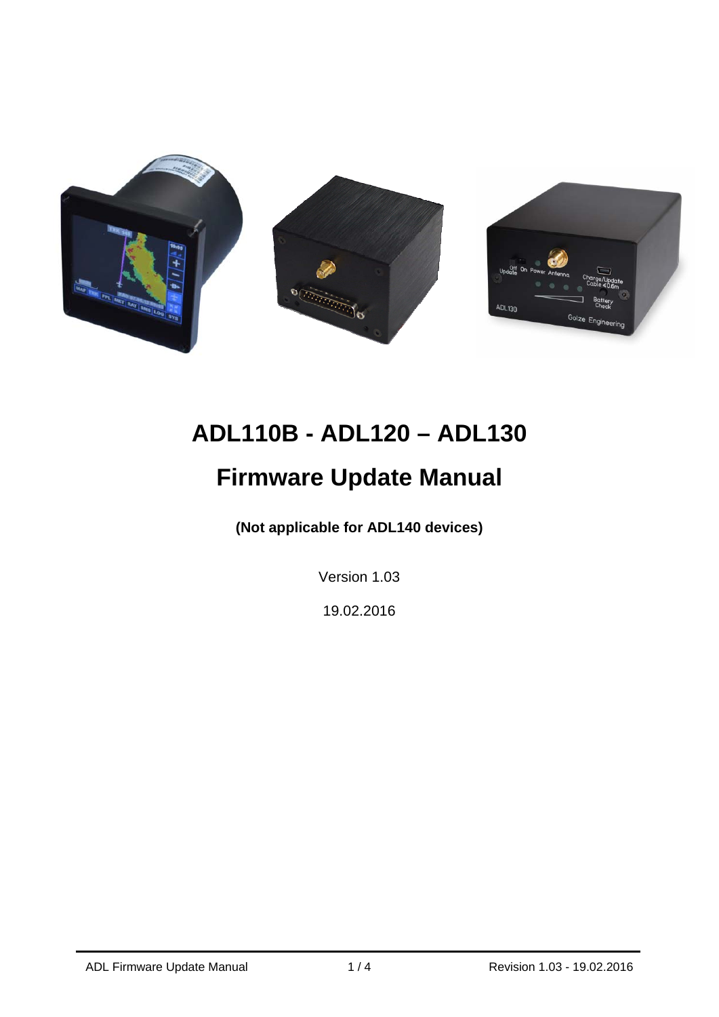

# **ADL110B - ADL120 – ADL130**

## **Firmware Update Manual**

**(Not applicable for ADL140 devices)** 

Version 1.03

19.02.2016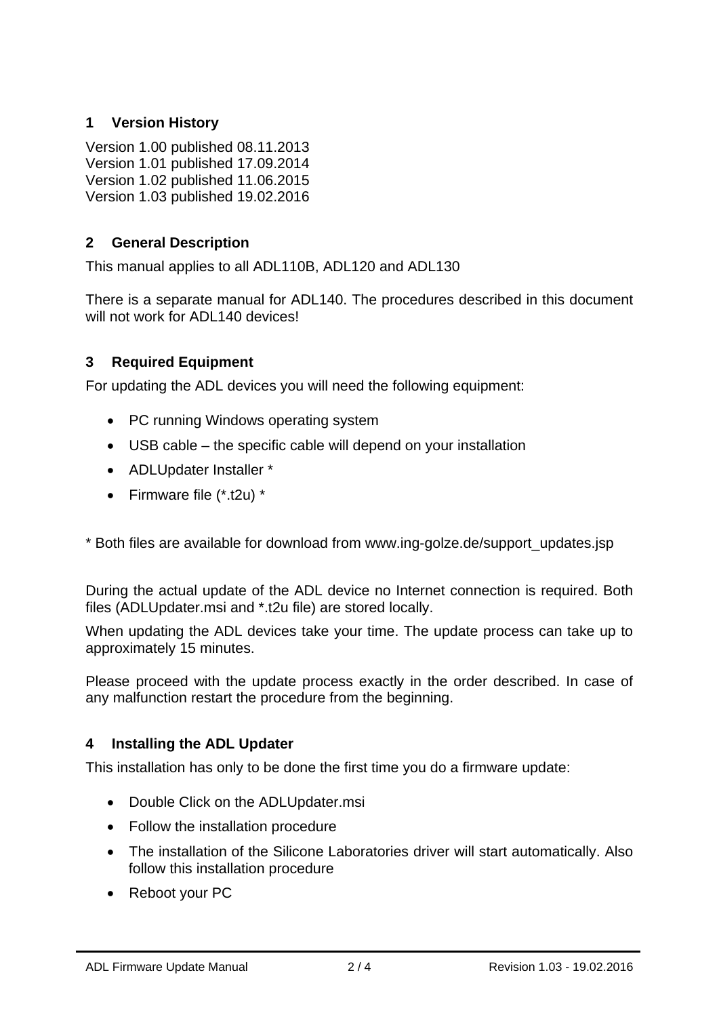### **1 Version History**

Version 1.00 published 08.11.2013 Version 1.01 published 17.09.2014 Version 1.02 published 11.06.2015 Version 1.03 published 19.02.2016

### **2 General Description**

This manual applies to all ADL110B, ADL120 and ADL130

There is a separate manual for ADL140. The procedures described in this document will not work for ADL140 devices!

### **3 Required Equipment**

For updating the ADL devices you will need the following equipment:

- PC running Windows operating system
- USB cable the specific cable will depend on your installation
- ADLUpdater Installer \*
- Firmware file (\*.t2u) \*

\* Both files are available for download from www.ing-golze.de/support\_updates.jsp

During the actual update of the ADL device no Internet connection is required. Both files (ADLUpdater.msi and \*.t2u file) are stored locally.

When updating the ADL devices take your time. The update process can take up to approximately 15 minutes.

Please proceed with the update process exactly in the order described. In case of any malfunction restart the procedure from the beginning.

### **4 Installing the ADL Updater**

This installation has only to be done the first time you do a firmware update:

- Double Click on the ADLUpdater.msi
- Follow the installation procedure
- The installation of the Silicone Laboratories driver will start automatically. Also follow this installation procedure
- Reboot your PC

j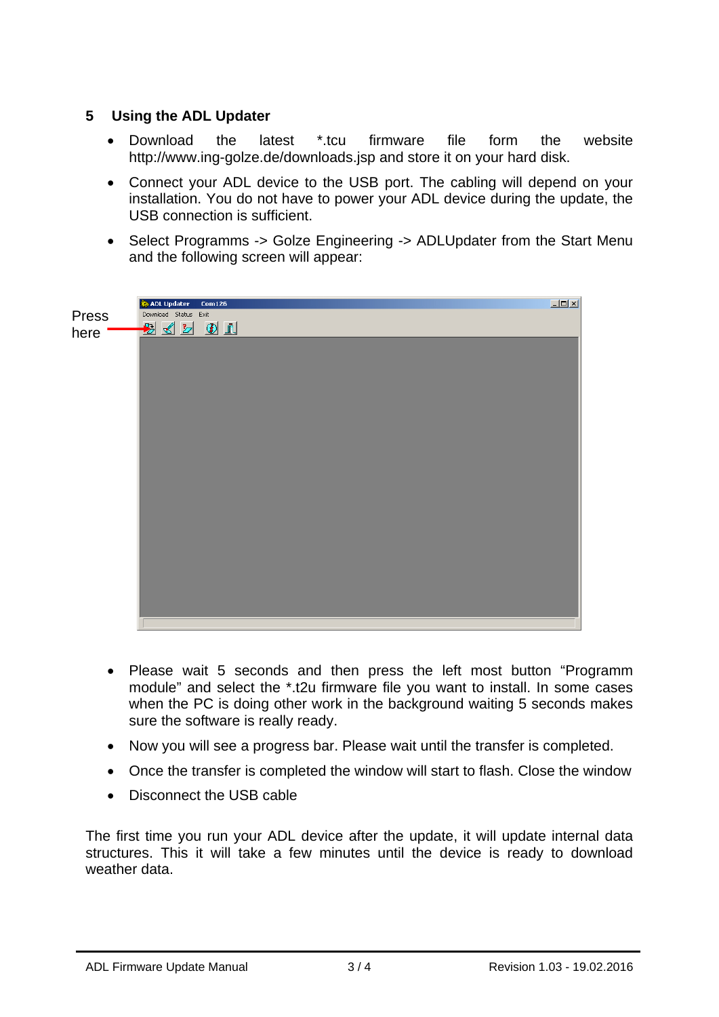#### **5 Using the ADL Updater**

- Download the latest \*.tcu firmware file form the website http://www.ing-golze.de/downloads.jsp and store it on your hard disk.
- Connect your ADL device to the USB port. The cabling will depend on your installation. You do not have to power your ADL device during the update, the USB connection is sufficient.
- Select Programms -> Golze Engineering -> ADLUpdater from the Start Menu and the following screen will appear:

|               | ADL Updater<br>Com126                                                    | $\Box$ |
|---------------|--------------------------------------------------------------------------|--------|
|               |                                                                          |        |
| Press<br>here | Download Status Exit<br>$\mathbf{E} \times \mathbf{E} \times \mathbf{I}$ |        |
|               |                                                                          |        |
|               |                                                                          |        |
|               |                                                                          |        |

- Please wait 5 seconds and then press the left most button "Programm module" and select the \*.t2u firmware file you want to install. In some cases when the PC is doing other work in the background waiting 5 seconds makes sure the software is really ready.
- Now you will see a progress bar. Please wait until the transfer is completed.
- Once the transfer is completed the window will start to flash. Close the window
- Disconnect the USB cable

The first time you run your ADL device after the update, it will update internal data structures. This it will take a few minutes until the device is ready to download weather data.